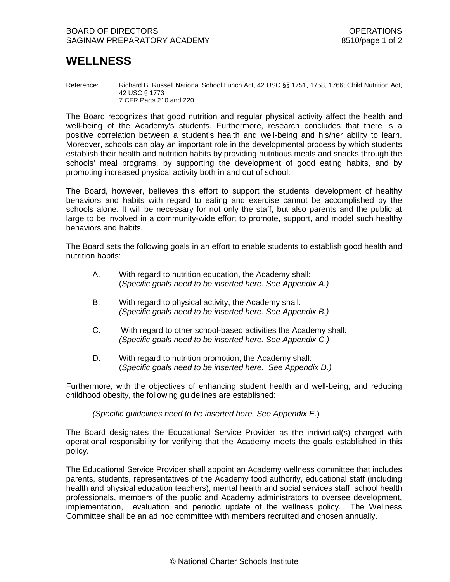# **WELLNESS**

Reference: Richard B. Russell National School Lunch Act, 42 USC §§ 1751, 1758, 1766; Child Nutrition Act, 42 USC § 1773 7 CFR Parts 210 and 220

The Board recognizes that good nutrition and regular physical activity affect the health and well-being of the Academy's students. Furthermore, research concludes that there is a positive correlation between a student's health and well-being and his/her ability to learn. Moreover, schools can play an important role in the developmental process by which students establish their health and nutrition habits by providing nutritious meals and snacks through the schools' meal programs, by supporting the development of good eating habits, and by promoting increased physical activity both in and out of school.

The Board, however, believes this effort to support the students' development of healthy behaviors and habits with regard to eating and exercise cannot be accomplished by the schools alone. It will be necessary for not only the staff, but also parents and the public at large to be involved in a community-wide effort to promote, support, and model such healthy behaviors and habits.

The Board sets the following goals in an effort to enable students to establish good health and nutrition habits:

- A. With regard to nutrition education, the Academy shall: (*Specific goals need to be inserted here. See Appendix A.)*
- B. With regard to physical activity, the Academy shall: *(Specific goals need to be inserted here. See Appendix B.)*
- C. With regard to other school-based activities the Academy shall: *(Specific goals need to be inserted here. See Appendix C.)*
- D. With regard to nutrition promotion, the Academy shall: (*Specific goals need to be inserted here. See Appendix D.)*

Furthermore, with the objectives of enhancing student health and well-being, and reducing childhood obesity, the following guidelines are established:

*(Specific guidelines need to be inserted here. See Appendix E.*)

The Board designates the Educational Service Provider as the individual(s) charged with operational responsibility for verifying that the Academy meets the goals established in this policy.

The Educational Service Provider shall appoint an Academy wellness committee that includes parents, students, representatives of the Academy food authority, educational staff (including health and physical education teachers), mental health and social services staff, school health professionals, members of the public and Academy administrators to oversee development, implementation, evaluation and periodic update of the wellness policy. The Wellness Committee shall be an ad hoc committee with members recruited and chosen annually.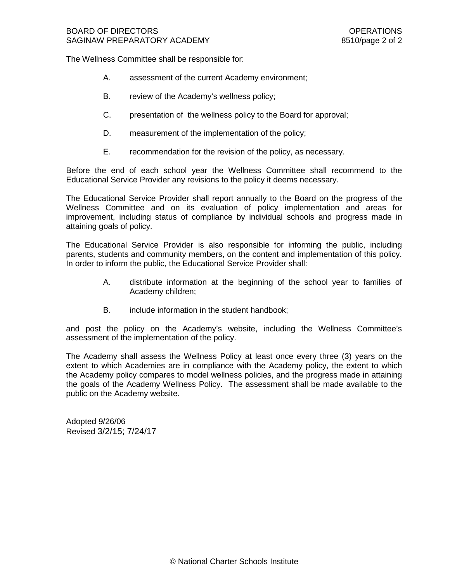The Wellness Committee shall be responsible for:

- A. assessment of the current Academy environment;
- B. review of the Academy's wellness policy;
- C. presentation of the wellness policy to the Board for approval;
- D. measurement of the implementation of the policy;
- E. recommendation for the revision of the policy, as necessary.

Before the end of each school year the Wellness Committee shall recommend to the Educational Service Provider any revisions to the policy it deems necessary.

The Educational Service Provider shall report annually to the Board on the progress of the Wellness Committee and on its evaluation of policy implementation and areas for improvement, including status of compliance by individual schools and progress made in attaining goals of policy.

The Educational Service Provider is also responsible for informing the public, including parents, students and community members, on the content and implementation of this policy. In order to inform the public, the Educational Service Provider shall:

- A. distribute information at the beginning of the school year to families of Academy children;
- B. include information in the student handbook;

and post the policy on the Academy's website, including the Wellness Committee's assessment of the implementation of the policy.

The Academy shall assess the Wellness Policy at least once every three (3) years on the extent to which Academies are in compliance with the Academy policy, the extent to which the Academy policy compares to model wellness policies, and the progress made in attaining the goals of the Academy Wellness Policy. The assessment shall be made available to the public on the Academy website.

Adopted 9/26/06 Revised 3/2/15; 7/24/17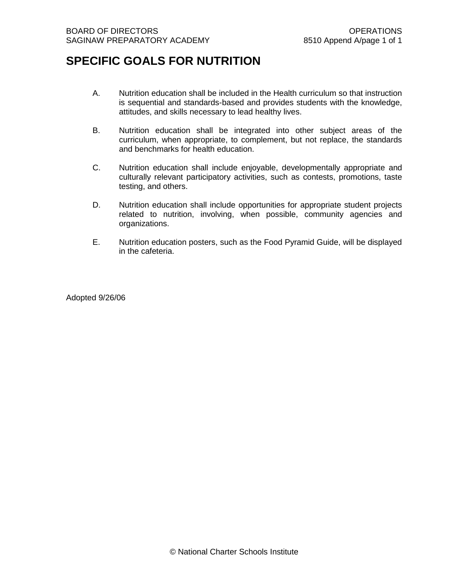# **SPECIFIC GOALS FOR NUTRITION**

- A. Nutrition education shall be included in the Health curriculum so that instruction is sequential and standards-based and provides students with the knowledge, attitudes, and skills necessary to lead healthy lives.
- B. Nutrition education shall be integrated into other subject areas of the curriculum, when appropriate, to complement, but not replace, the standards and benchmarks for health education.
- C. Nutrition education shall include enjoyable, developmentally appropriate and culturally relevant participatory activities, such as contests, promotions, taste testing, and others.
- D. Nutrition education shall include opportunities for appropriate student projects related to nutrition, involving, when possible, community agencies and organizations.
- E. Nutrition education posters, such as the Food Pyramid Guide, will be displayed in the cafeteria.

Adopted 9/26/06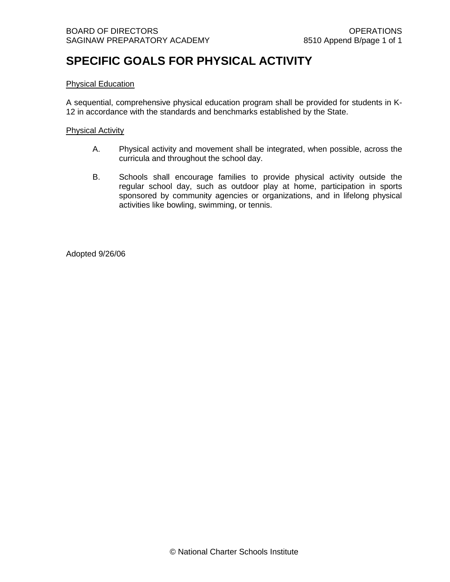# **SPECIFIC GOALS FOR PHYSICAL ACTIVITY**

### Physical Education

A sequential, comprehensive physical education program shall be provided for students in K-12 in accordance with the standards and benchmarks established by the State.

#### Physical Activity

- A. Physical activity and movement shall be integrated, when possible, across the curricula and throughout the school day.
- B. Schools shall encourage families to provide physical activity outside the regular school day, such as outdoor play at home, participation in sports sponsored by community agencies or organizations, and in lifelong physical activities like bowling, swimming, or tennis.

Adopted 9/26/06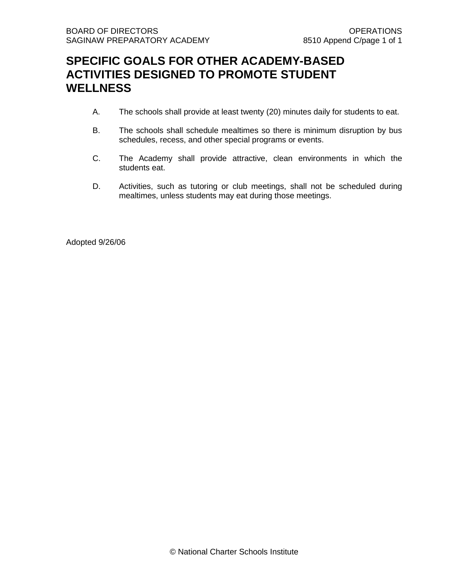### **SPECIFIC GOALS FOR OTHER ACADEMY-BASED ACTIVITIES DESIGNED TO PROMOTE STUDENT WELLNESS**

- A. The schools shall provide at least twenty (20) minutes daily for students to eat.
- B. The schools shall schedule mealtimes so there is minimum disruption by bus schedules, recess, and other special programs or events.
- C. The Academy shall provide attractive, clean environments in which the students eat.
- D. Activities, such as tutoring or club meetings, shall not be scheduled during mealtimes, unless students may eat during those meetings.

Adopted 9/26/06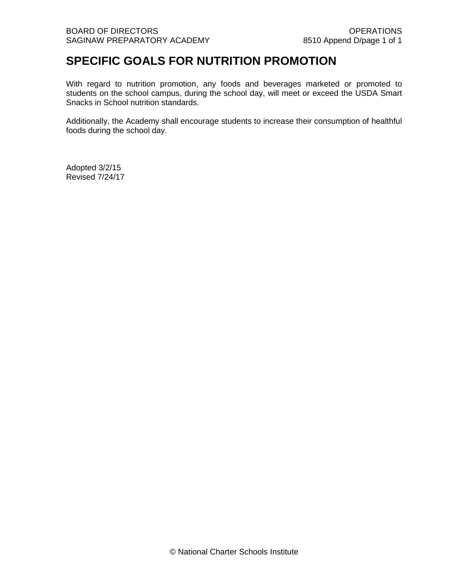### **SPECIFIC GOALS FOR NUTRITION PROMOTION**

With regard to nutrition promotion, any foods and beverages marketed or promoted to students on the school campus, during the school day, will meet or exceed the USDA Smart Snacks in School nutrition standards.

Additionally, the Academy shall encourage students to increase their consumption of healthful foods during the school day.

Adopted 3/2/15 Revised 7/24/17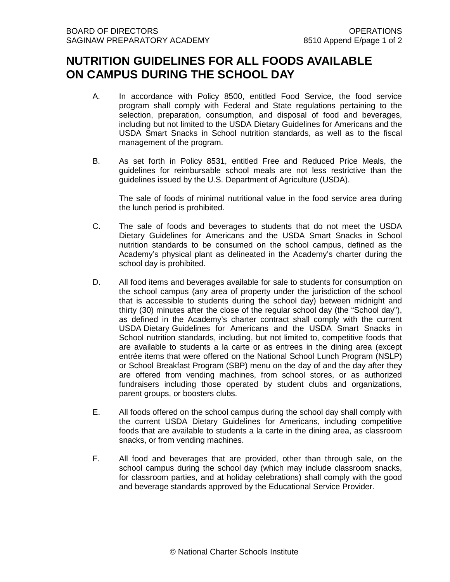## **NUTRITION GUIDELINES FOR ALL FOODS AVAILABLE ON CAMPUS DURING THE SCHOOL DAY**

- A. In accordance with Policy 8500, entitled Food Service, the food service program shall comply with Federal and State regulations pertaining to the selection, preparation, consumption, and disposal of food and beverages, including but not limited to the USDA Dietary Guidelines for Americans and the USDA Smart Snacks in School nutrition standards, as well as to the fiscal management of the program.
- B. As set forth in Policy 8531, entitled Free and Reduced Price Meals, the guidelines for reimbursable school meals are not less restrictive than the guidelines issued by the U.S. Department of Agriculture (USDA).

The sale of foods of minimal nutritional value in the food service area during the lunch period is prohibited.

- C. The sale of foods and beverages to students that do not meet the USDA Dietary Guidelines for Americans and the USDA Smart Snacks in School nutrition standards to be consumed on the school campus, defined as the Academy's physical plant as delineated in the Academy's charter during the school day is prohibited.
- D. All food items and beverages available for sale to students for consumption on the school campus (any area of property under the jurisdiction of the school that is accessible to students during the school day) between midnight and thirty (30) minutes after the close of the regular school day (the "School day"), as defined in the Academy's charter contract shall comply with the current USDA Dietary Guidelines for Americans and the USDA Smart Snacks in School nutrition standards, including, but not limited to, competitive foods that are available to students a la carte or as entrees in the dining area (except entrée items that were offered on the National School Lunch Program (NSLP) or School Breakfast Program (SBP) menu on the day of and the day after they are offered from vending machines, from school stores, or as authorized fundraisers including those operated by student clubs and organizations, parent groups, or boosters clubs.
- E. All foods offered on the school campus during the school day shall comply with the current USDA Dietary Guidelines for Americans, including competitive foods that are available to students a la carte in the dining area, as classroom snacks, or from vending machines.
- F. All food and beverages that are provided, other than through sale, on the school campus during the school day (which may include classroom snacks, for classroom parties, and at holiday celebrations) shall comply with the good and beverage standards approved by the Educational Service Provider.